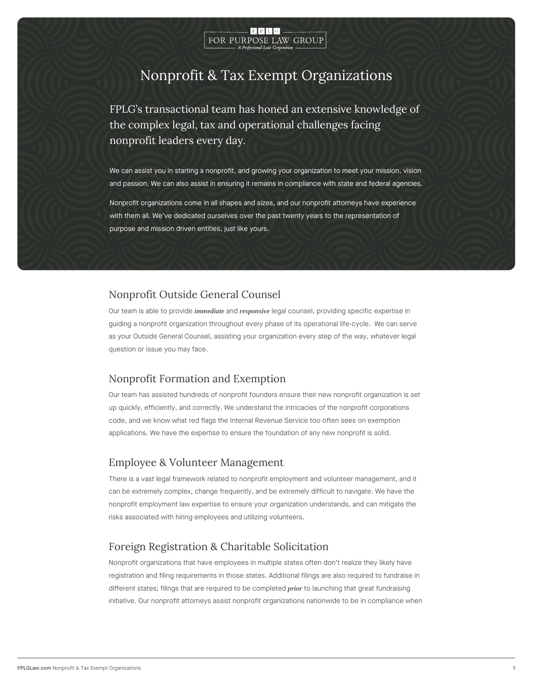

# Nonprofit & Tax Exempt Organizations

FPLG s transactional team has honed an extensive knd the complex legal, tax and operational challenges facing nonprofit leaders every day.

We can assist you in starting a nonprofit, and growing your organization to meet and passion. We can also assist in ensuring it remains in compliance with state a

Nonprofit organizations come in all shapes and sizes, and our nonprofit attorneys with them all. We ve dedicated ourselves over the past twenty years to the repres purpose and mission driven entities, just like yours.

### Nonprofit Outside General Counsel

Our team is able immome diate vai on met sponsive legal counsel, providing specific expertise in guiding a nonprofit organization throughout every phase of its operational life-cycle. as your Outside General Counsel, assisting your organization every step of the way, question or issue you may face.

### Nonprofit Formation and Exemption

Our team has assisted hundreds of nonprofit founders ensure their new nonprofit org up quickly, efficiently, and correctly. We understand the intricacies of the nonprofit code, and we know what red flags the Internal Revenue Service too often sees on exe applications. We have the expertise to ensure the foundation of any new nonprofit is

## Employee & Volunteer Management

There is a vast legal framework related to nonprofit employment and volunteer manag can be extremely complex, change frequently, and be extremely difficult to navigate. nonprofit employment law expertise to ensure your organization understands, and car risks associated with hiring employees and utilizing volunteers.

## Foreign Registration & Charitable Solicitation

Nonprofit organizations that have employees in multiple states often don t realize th registration and filing requirements in those states. Additional filings are also requir different states; filings that are required to the bechoimogolule teat digreat fundraising initiative. Our nonprofit attorneys assist nonprofit organizations nationwide to be in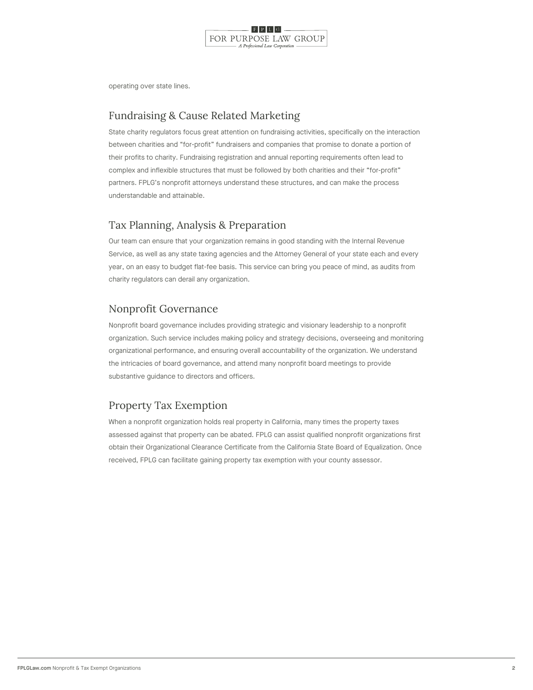

operating over state lines.

## Fundraising & Cause Related Marketing

State charity regulators focus great attention on fundraising activities, specifically c between charities and for-profit fundraisers and companies that promise to donate a their profits to charity. Fundraising registration and annual reporting requirements o complex and inflexible structures that must be followed by both charities and their f partners. FPLG s nonprofit attorneys understand these structures, and can make the understandable and attainable.

## Tax Planning, Analysis & Preparation

Our team can ensure that your organization remains in good standing with the Interna Service, as well as any state taxing agencies and the Attorney General of your state year, on an easy to budget flat-fee basis. This service can bring you peace of mind, charity regulators can derail any organization.

## Nonprofit Governance

Nonprofit board governance includes providing strategic and visionary leadership to organization. Such service includes making policy and strategy decisions, overseeing organizational performance, and ensuring overall accountability of the organization. the intricacies of board governance, and attend many nonprofit board meetings to pro substantive guidance to directors and officers.

## Property Tax Exemption

When a nonprofit organization holds real property in California, many times the property assessed against that property can be abated. FPLG can assist qualified nonprofit or obtain their Organizational Clearance Certificate from the California State Board of I received, FPLG can facilitate gaining property tax exemption with your county assess